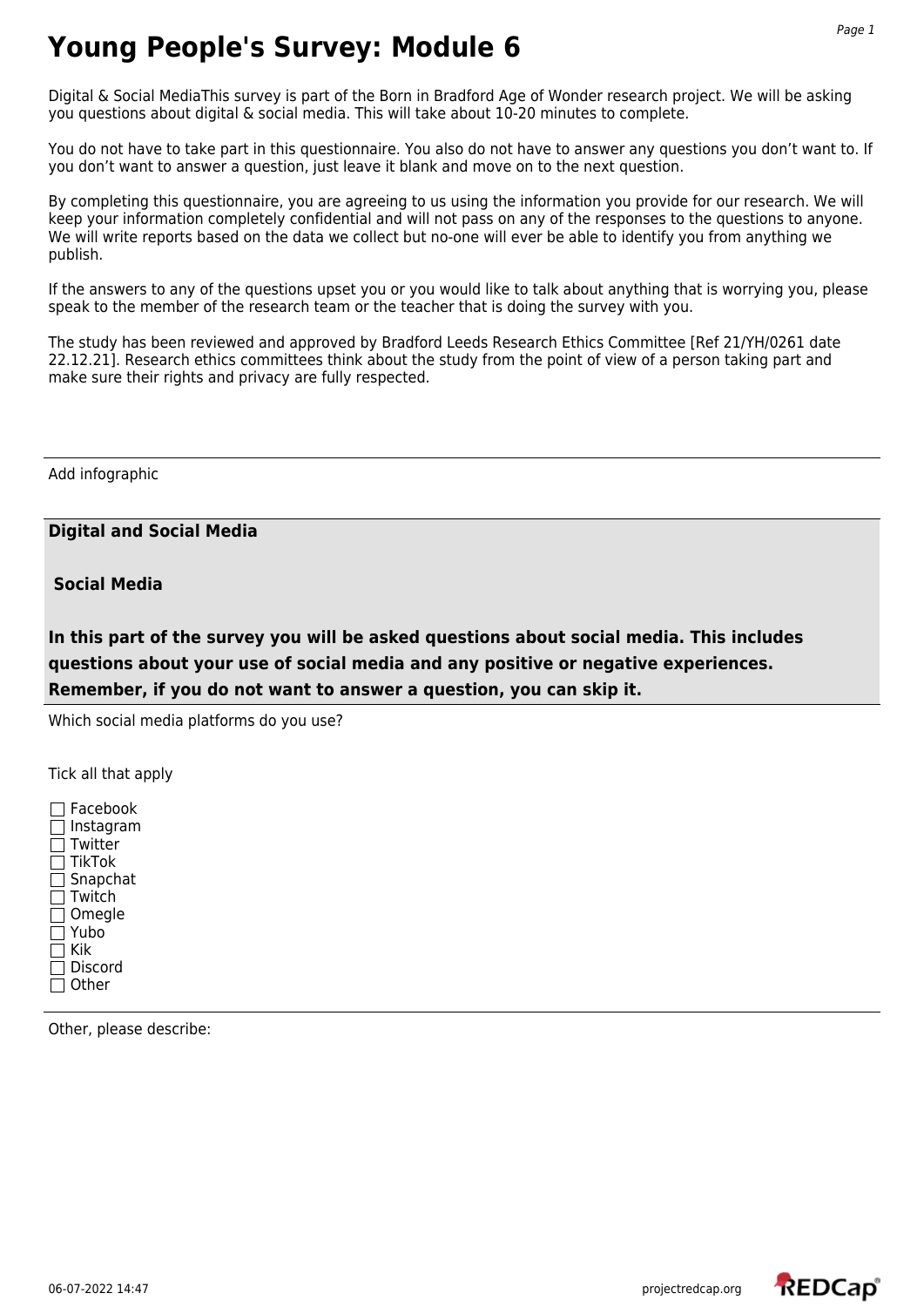Digital & Social MediaThis survey is part of the Born in Bradford Age of Wonder research project. We will be asking you questions about digital & social media. This will take about 10-20 minutes to complete.

You do not have to take part in this questionnaire. You also do not have to answer any questions you don't want to. If you don't want to answer a question, just leave it blank and move on to the next question.

By completing this questionnaire, you are agreeing to us using the information you provide for our research. We will keep your information completely confidential and will not pass on any of the responses to the questions to anyone. We will write reports based on the data we collect but no-one will ever be able to identify you from anything we publish.

If the answers to any of the questions upset you or you would like to talk about anything that is worrying you, please speak to the member of the research team or the teacher that is doing the survey with you.

The study has been reviewed and approved by Bradford Leeds Research Ethics Committee [Ref 21/YH/0261 date 22.12.21]. Research ethics committees think about the study from the point of view of a person taking part and make sure their rights and privacy are fully respected.

Add infographic

**Digital and Social Media** 

 **Social Media** 

**In this part of the survey you will be asked questions about social media. This includes questions about your use of social media and any positive or negative experiences. Remember, if you do not want to answer a question, you can skip it.**

Which social media platforms do you use?

Tick all that apply

 $\Box$  Facebook  $\Box$  Instagram  $\Box$  Twitter  $\Box$  TikTok □ Snapchat  $\Box$  Twitch  $\Box$  Omegle Yubo  $\Box$  Kik  $\Box$  Discord  $\Box$  Other

Other, please describe:

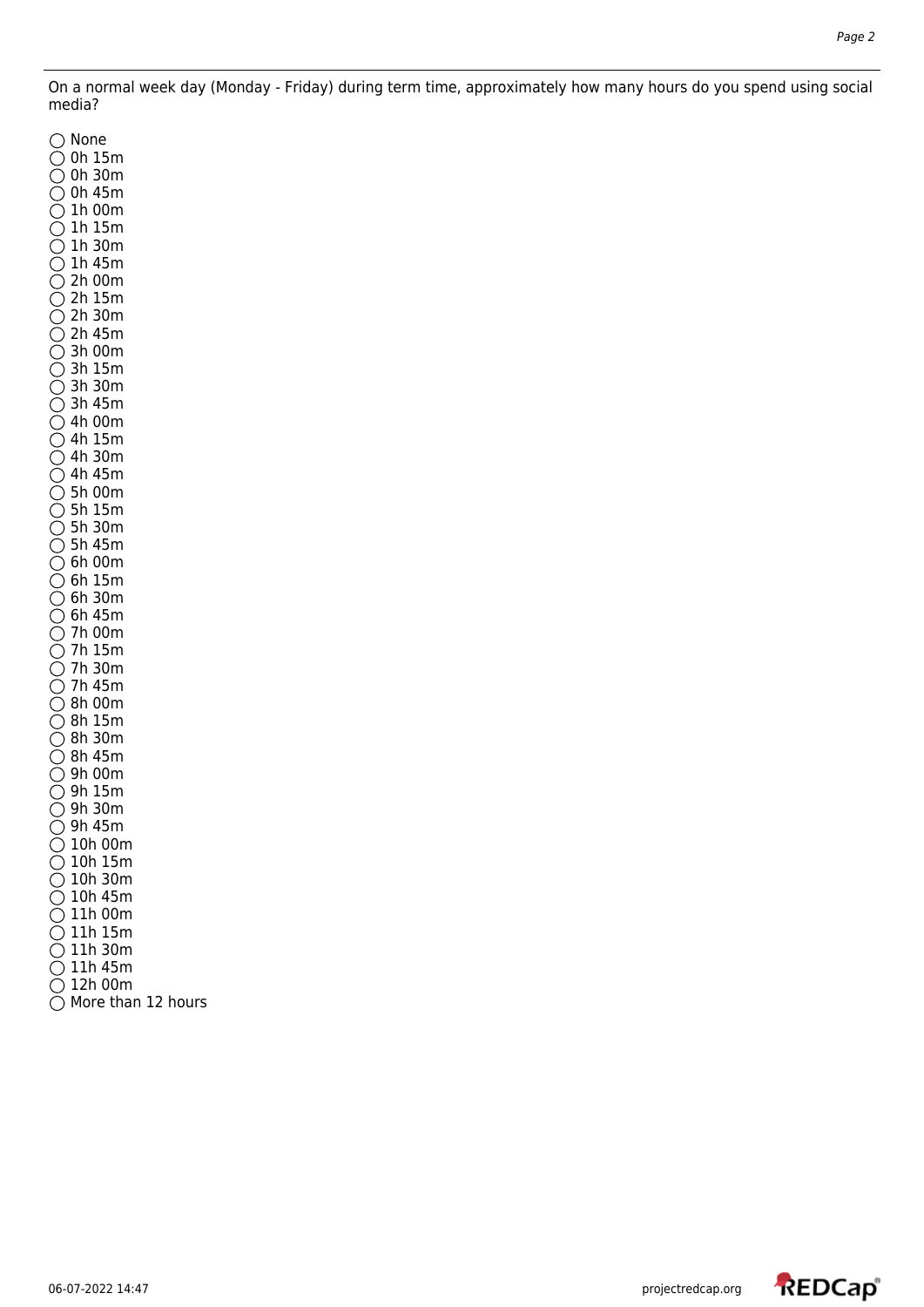On a normal week day (Monday - Friday) during term time, approximately how many hours do you spend using social media?

 $\bigcirc$  None 0h 15m 0h 30m  $\bigcirc$  0h 45m  $\bigcirc$  1h 00m  $\bigcirc$  1h 15m  $\bigcirc$  1h 30m  $\bigcirc$  1h 45m  $\bullet$  2h 00m  $\overline{Q}$  2h 15m  $\bigcirc$  2h 30m  $\bigcirc$  2h 45m  $\bigcirc$  3h 00m  $\bigcirc$  3h 15m  $\overline{O}$  3h 30m 3h 45m 4h 00m 4h 15m 4h 30m  $\bigcirc$  4h 45m  $\bigcirc$  5h 00m 5h 15m 5h 30m  $\bigcirc$  5h 45m  $\bigcirc$  6h 00m  $\bigcirc$  6h 15m  $\bigcirc$  6h 30m  $\bigcirc$  6h 45m 7h 00m 7h 15m  $\overline{O}$  7h 30m  $\bigcirc$  7h 45m  $\bigcirc$  8h 00m  $\overline{O}$  8h 15m 8h 30m 8h 45m 9h 00m  $\bigcirc$  9h 15m 9h 30m  $\bigcirc$  9h 45m  $\bigcirc$  10h 00m  $\bigcirc$  10h 15m  $\overline{O}$  10h 30m  $\bigcirc$  10h 45m  $\bigcirc$  11h 00m  $\bigcirc$  11h 15m  $\bigcirc$  11h 30m  $\bigcirc$  11h 45m  $\overline{O}$  12h 00m  $\bigcirc$  More than 12 hours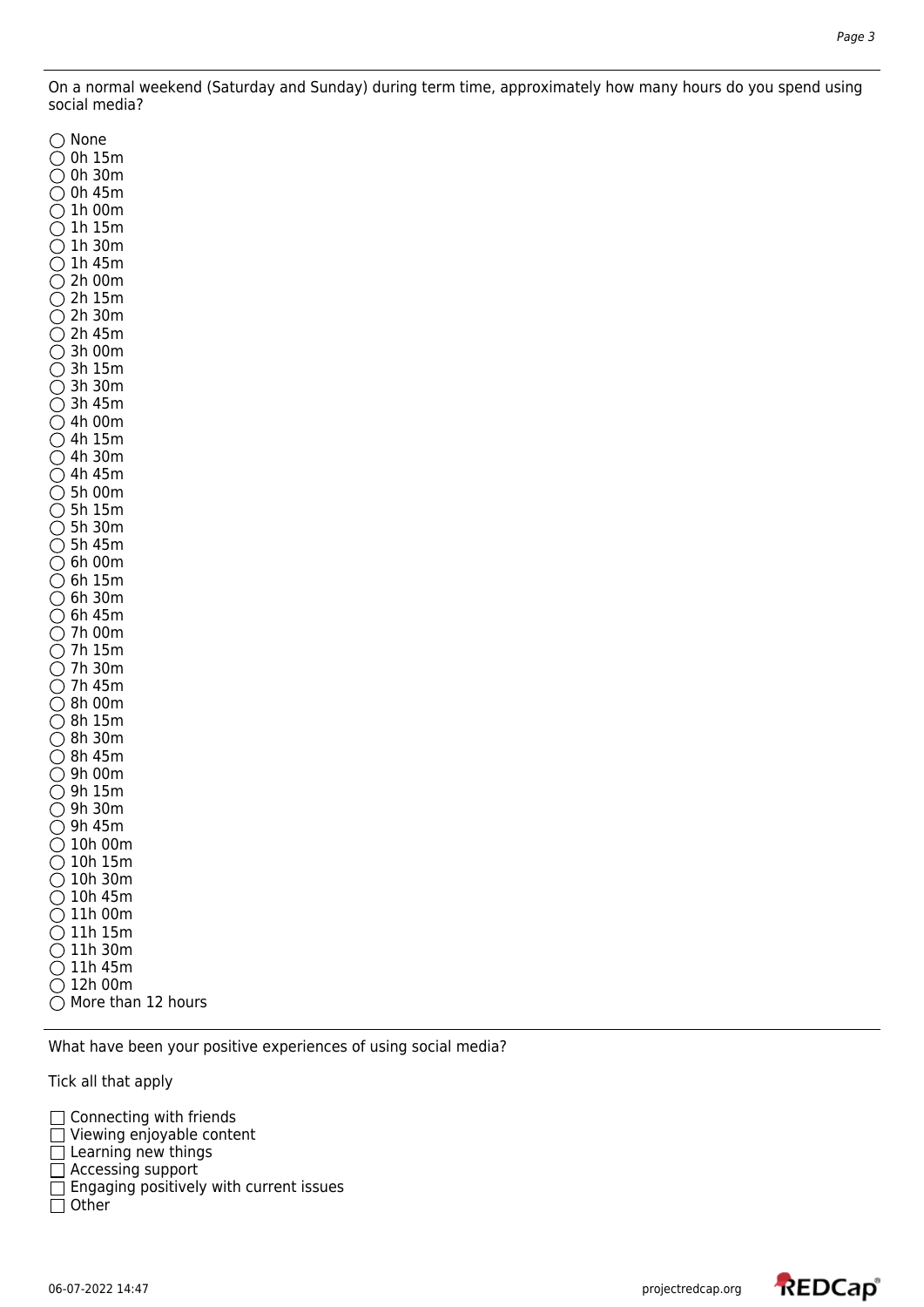On a normal weekend (Saturday and Sunday) during term time, approximately how many hours do you spend using social media?

 $\bigcap$  None 0h 15m 0h 30m  $\bigcirc$  0h 45m  $\bigcirc$  1h 00m  $\bigcirc$  1h 15m  $\bigcirc$  1h 30m  $\bigcirc$  1h 45m  $\overline{O}$  2h 00m  $\bigcirc$  2h 15m 2h 30m  $\bigcirc$  2h 45m  $\bigcirc$  3h 00m  $\bigcirc$  3h 15m 3h 30m  $\bullet$  3h 45m  $\bigcirc$  4h 00m 4h 15m 4h 30m  $\bigcirc$  4h 45m  $\bigcirc$  5h 00m  $\bigcirc$  5h 15m  $\bullet$  5h 30m  $\bigcirc$  5h 45m  $\bigcirc$  6h 00m  $\bigcirc$  6h 15m  $\bigcirc$  6h 30m  $\bigcirc$  6h 45m 7h 00m 7h 15m  $\bigcirc$  7h 30m  $\bigcirc$  7h 45m  $\overline{O}$  8h 00m  $\bigcirc$  8h 15m 8h 30m  $\overline{O}$  8h 45m  $\bigcirc$  9h 00m 9h 15m 9h 30m  $\bigcirc$  9h 45m  $\bigcirc$  10h 00m  $\bigcirc$  10h 15m  $\bigcirc$  10h 30m  $\bigcirc$  10h 45m  $\bigcirc$  11h 00m  $\bigcirc$  11h 15m  $\bigcirc$  11h 30m  $\bigcirc$  11h 45m  $\bigcirc$  12h 00m  $\bigcirc$  More than 12 hours

What have been your positive experiences of using social media?

Tick all that apply

- Connecting with friends
- Viewing enjoyable content
- $\Box$  Learning new things
- □ Accessing support
- $\Box$  Engaging positively with current issues
- $\Box$  Other

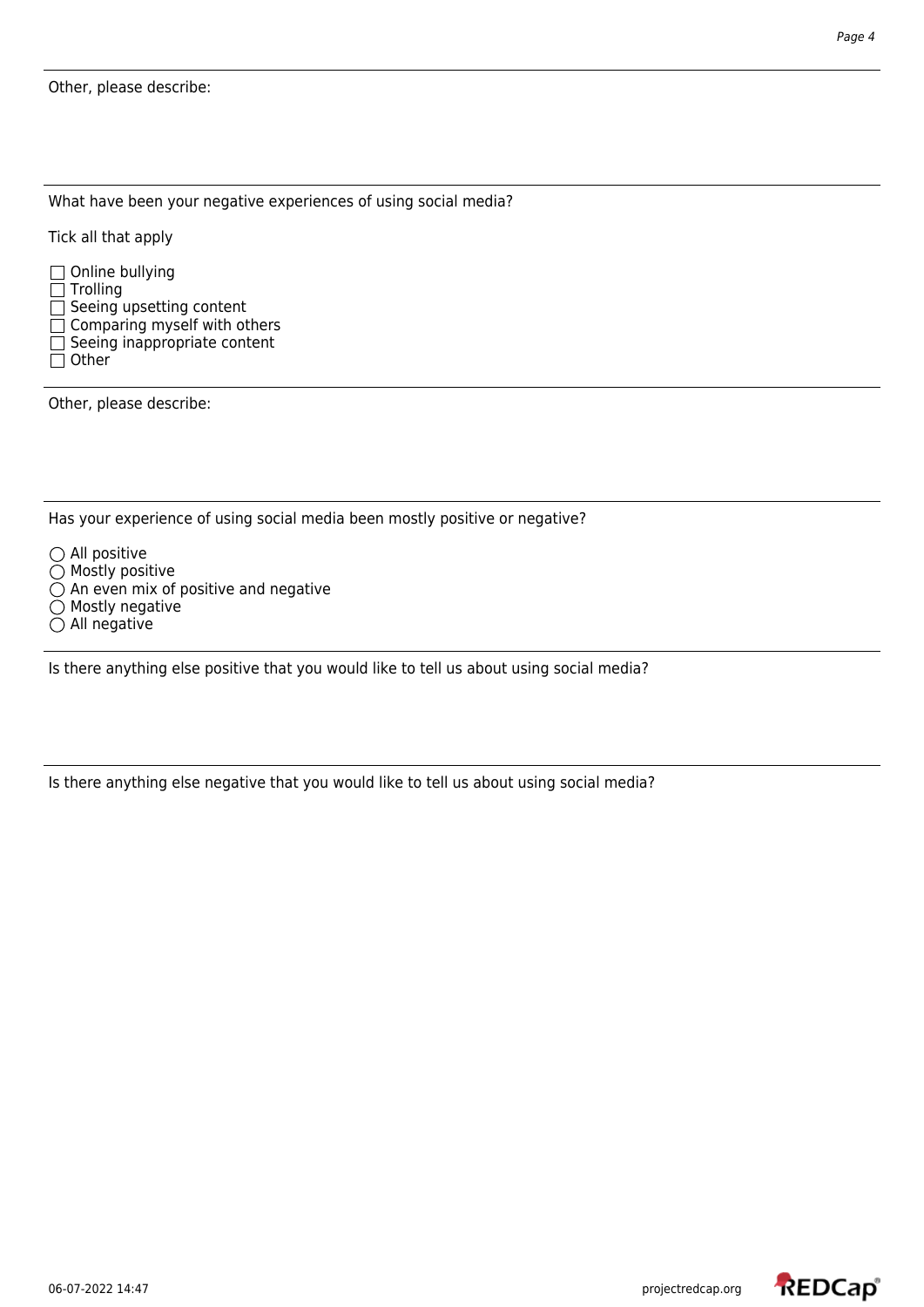What have been your negative experiences of using social media?

Tick all that apply

 $\Box$  Online bullying  $\Box$  Trolling  $\Box$  Seeing upsetting content  $\Box$  Comparing myself with others  $\Box$  Seeing inappropriate content  $\Box$  Other

Other, please describe:

Has your experience of using social media been mostly positive or negative?

- $\bigcirc$  All positive
- $\bigcirc$  Mostly positive
- $\bigcirc$  An even mix of positive and negative
- $\overline{O}$  Mostly negative
- $\overline{O}$  All negative

Is there anything else positive that you would like to tell us about using social media?

Is there anything else negative that you would like to tell us about using social media?

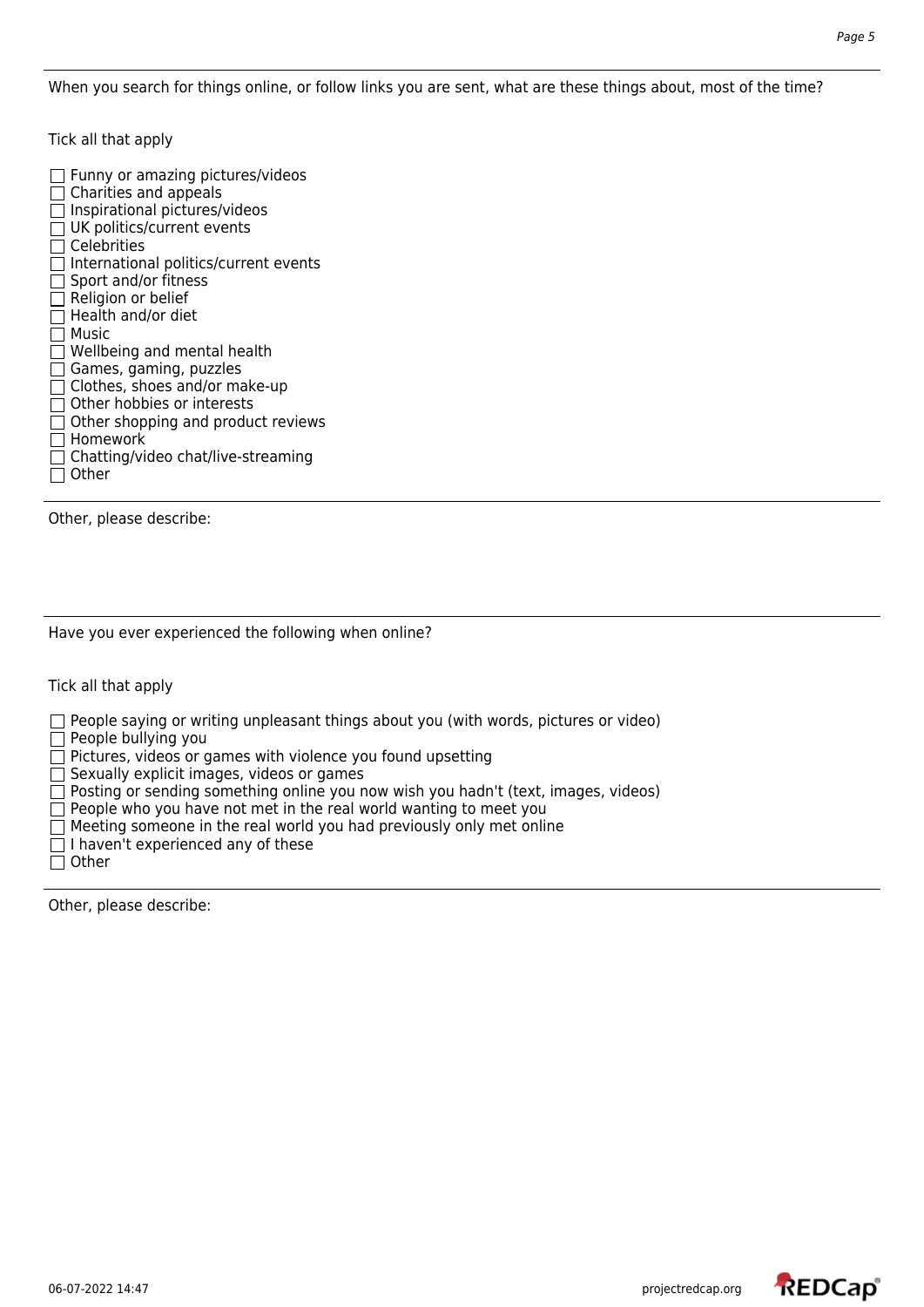When you search for things online, or follow links you are sent, what are these things about, most of the time?

Tick all that apply

 $\Box$  Funny or amazing pictures/videos  $\Box$  Charities and appeals  $\Box$  Inspirational pictures/videos  $\Box$  UK politics/current events  $\Box$  Celebrities  $\Box$  International politics/current events  $\Box$  Sport and/or fitness  $\Box$  Religion or belief  $\Box$  Health and/or diet  $\Box$  Music  $\Box$  Wellbeing and mental health  $\Box$  Games, gaming, puzzles  $\Box$  Clothes, shoes and/or make-up  $\Box$  Other hobbies or interests  $\Box$  Other shopping and product reviews □ Homework  $\Box$  Chatting/video chat/live-streaming  $\Box$  Other

Other, please describe:

Have you ever experienced the following when online?

Tick all that apply

 $\Box$  People saying or writing unpleasant things about you (with words, pictures or video)

 $\Box$  People bullying you

 $\Box$  Pictures, videos or games with violence you found upsetting

 $\overline{\Box}$  Sexually explicit images, videos or games

 $\Box$  Posting or sending something online you now wish you hadn't (text, images, videos)

 $\Box$  People who you have not met in the real world wanting to meet you

 $\Box$  Meeting someone in the real world you had previously only met online

 $\Box$  I haven't experienced any of these

 $\Box$  Other

Other, please describe:

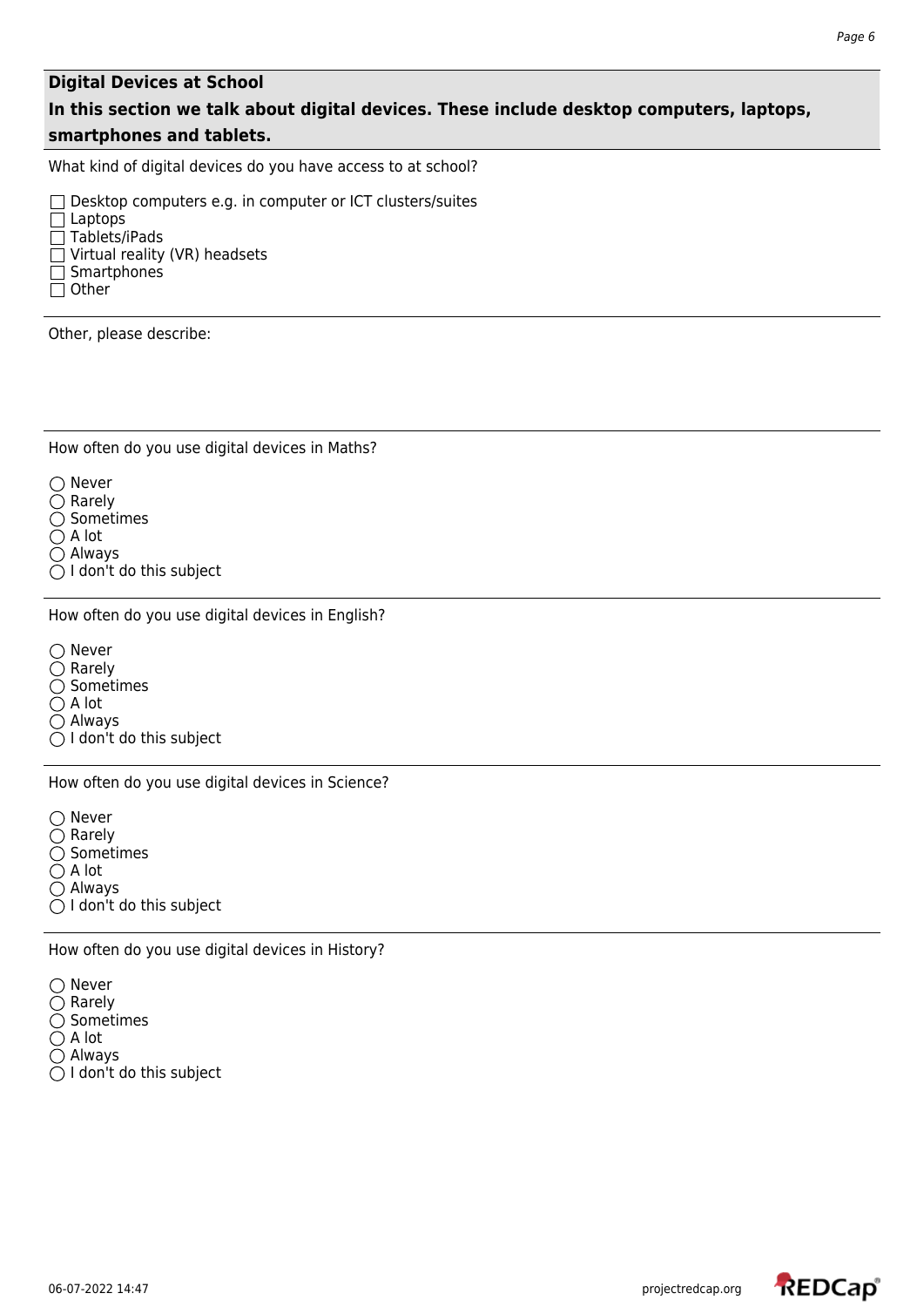### **Digital Devices at School**

# **In this section we talk about digital devices. These include desktop computers, laptops, smartphones and tablets.**

What kind of digital devices do you have access to at school?

□ Desktop computers e.g. in computer or ICT clusters/suites  $\Box$  Laptops  $\Box$  Tablets/iPads  $\Box$  Virtual reality (VR) headsets  $\Box$  Smartphones  $\Box$  Other

Other, please describe:

How often do you use digital devices in Maths?

 $\bigcirc$  Never  $\bigcirc$  Rarely

 $\bigcirc$  Sometimes

 $\bigcirc$  A lot Always

 $\bigcirc$  I don't do this subject

How often do you use digital devices in English?

○ Never  $\bigcirc$  Rarely  $\bigcirc$  Sometimes  $\bigcap$  A lot  $\bigcap$  Always  $\bigcirc$  I don't do this subject

How often do you use digital devices in Science?

 $\bigcirc$  Never  $\bigcirc$  Rarely  $\bigcirc$  Sometimes  $\bigcirc$  A lot

Always

 $\bigcirc$  I don't do this subject

How often do you use digital devices in History?

 $\bigcirc$  Never  $\bigcirc$  Rarely  $\bigcirc$  Sometimes  $\bigcirc$  A lot Always  $\bigcirc$  I don't do this subject

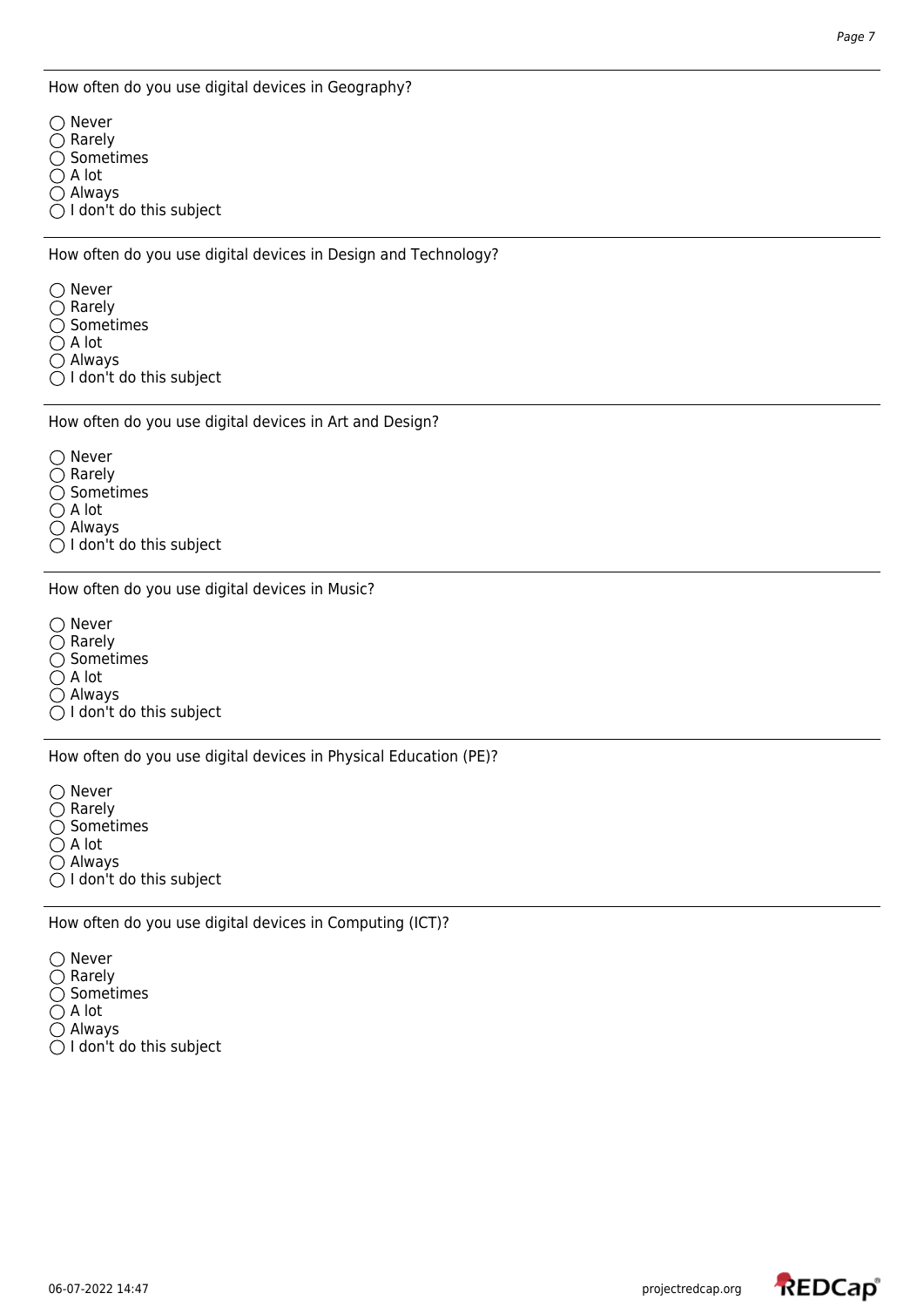How often do you use digital devices in Geography?

○ Never  $\bigcirc$  Rarely  $\bigcirc$  Sometimes  $\bigcirc$  A lot  $\bigcirc$  Always  $\bigcirc$  I don't do this subject

How often do you use digital devices in Design and Technology?

○ Never  $\bigcirc$  Rarely  $\bigcirc$  Sometimes  $\bigcirc$  A lot Always  $\bigcirc$  I don't do this subject

How often do you use digital devices in Art and Design?

 $\bigcirc$  Never  $\bigcirc$  Rarely  $\bigcirc$  Sometimes  $\bigcirc$  A lot Always  $\bigcirc$  I don't do this subject

How often do you use digital devices in Music?

○ Never  $\overline{O}$  Rarely  $\bigcirc$  Sometimes  $\bigcirc$  A lot Always  $\bigcirc$  I don't do this subject

How often do you use digital devices in Physical Education (PE)?

 $\bigcirc$  Never  $\bigcirc$  Rarely  $\bigcirc$  Sometimes  $\bigcap$  A lot Always  $\bigcirc$  I don't do this subject

How often do you use digital devices in Computing (ICT)?

 $\bigcap$  Never  $\bigcirc$  Rarely  $\overline{O}$  Sometimes  $\bigcirc$  A lot  $\bigcirc$  Always  $\bigcirc$  I don't do this subject

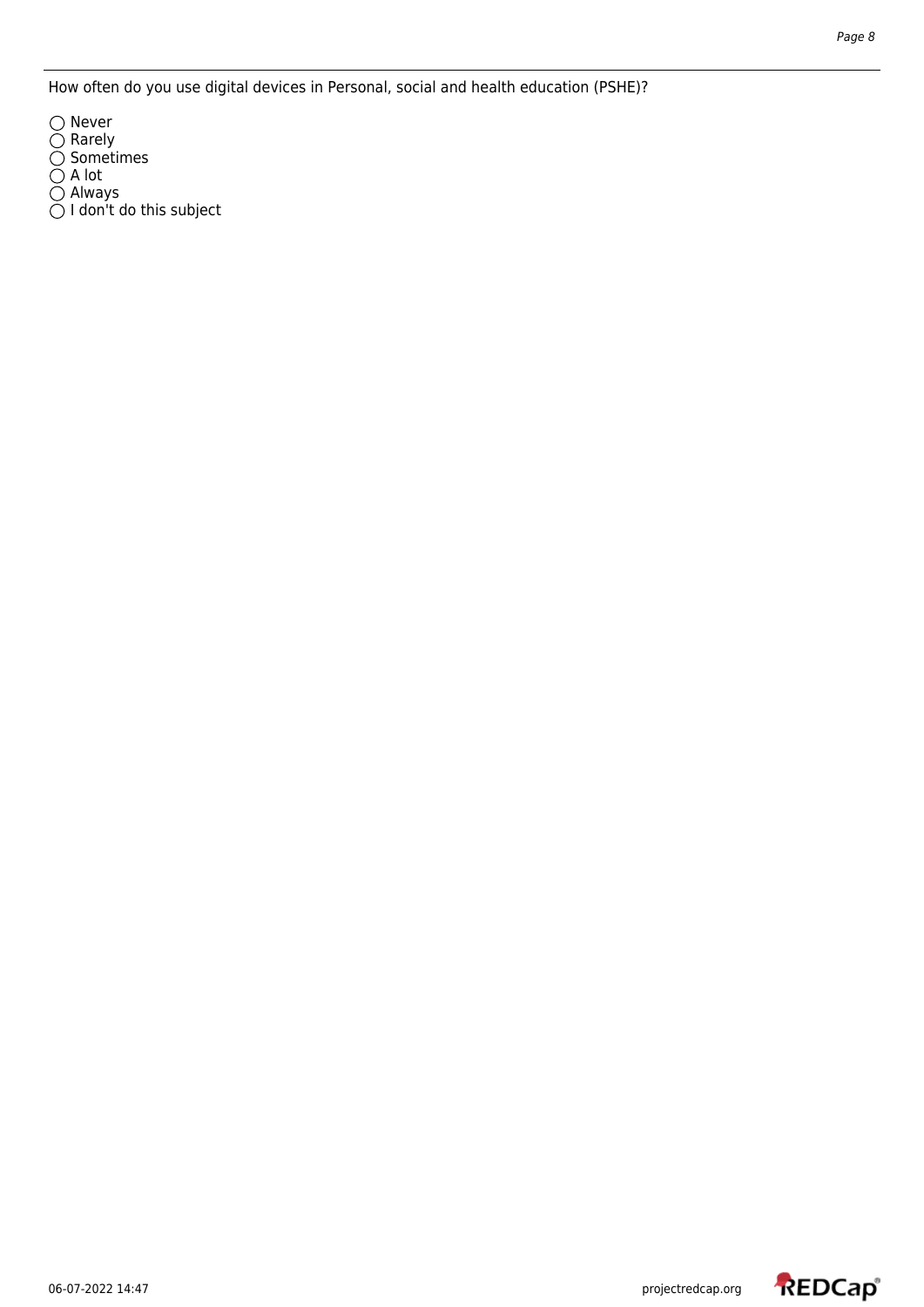How often do you use digital devices in Personal, social and health education (PSHE)?

Never Rarely Sometimes A lot Always I don't do this subject

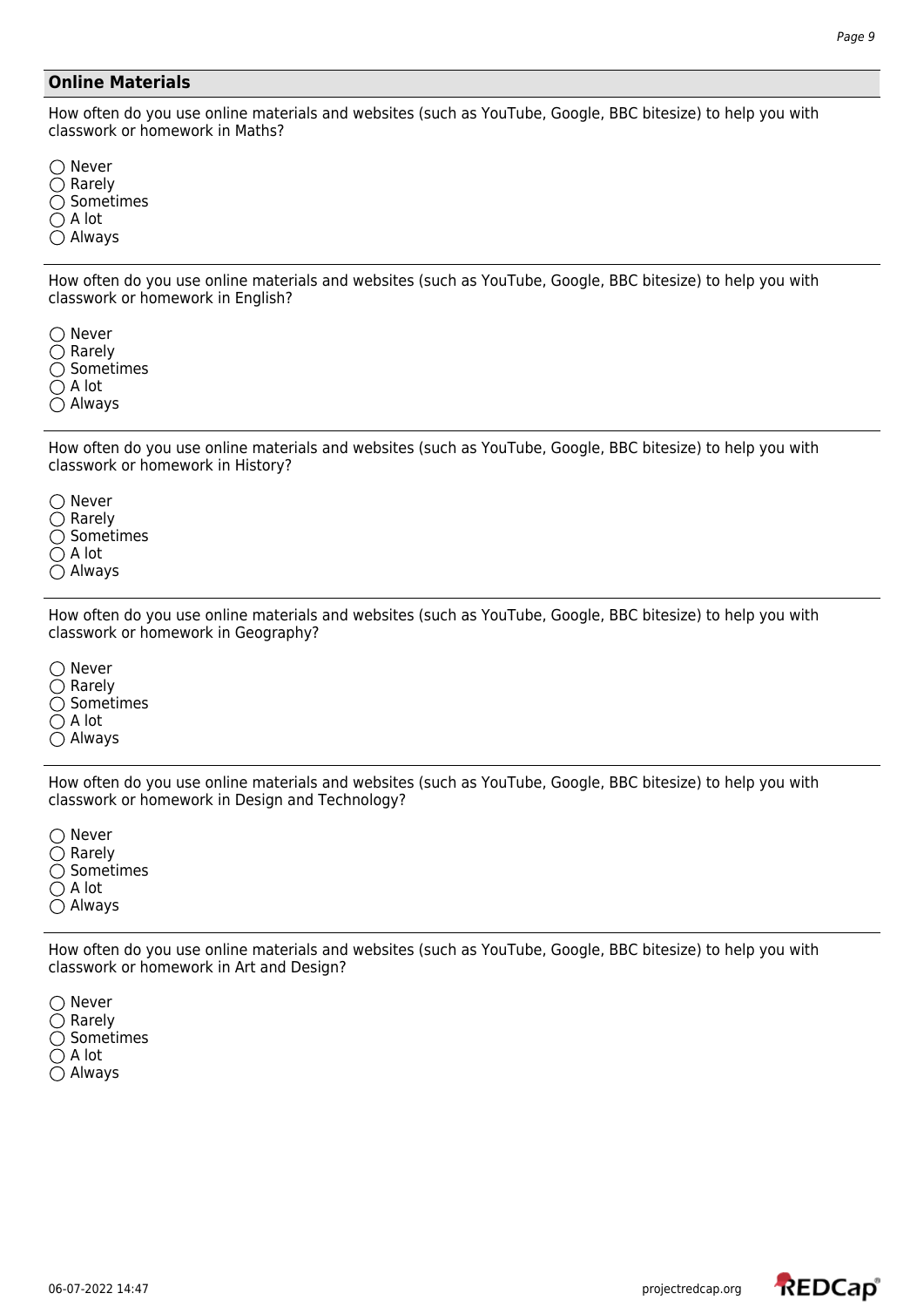### **Online Materials**

How often do you use online materials and websites (such as YouTube, Google, BBC bitesize) to help you with classwork or homework in Maths?

 $\bigcirc$  Never  $\bigcirc$  Rarely  $\bigcirc$  Sometimes  $\bigcirc$  A lot Always

How often do you use online materials and websites (such as YouTube, Google, BBC bitesize) to help you with classwork or homework in English?

 $\bigcirc$  Never  $\bigcirc$  Rarely  $\bigcirc$  Sometimes  $\bigcap$  A lot  $\bigcap$  Always

How often do you use online materials and websites (such as YouTube, Google, BBC bitesize) to help you with classwork or homework in History?

 $\bigcirc$  Never  $\bigcirc$  Rarely  $\bigcirc$  Sometimes  $\bigcirc$  A lot Always

How often do you use online materials and websites (such as YouTube, Google, BBC bitesize) to help you with classwork or homework in Geography?

 $\bigcirc$  Never  $\bigcirc$  Rarely  $\bigcirc$  Sometimes  $\bigcap$  A lot Always

How often do you use online materials and websites (such as YouTube, Google, BBC bitesize) to help you with classwork or homework in Design and Technology?

 $\bigcirc$  Never  $\bigcirc$  Rarely  $\bigcirc$  Sometimes  $\bigcirc$  A lot Always

How often do you use online materials and websites (such as YouTube, Google, BBC bitesize) to help you with classwork or homework in Art and Design?

 $\bigcirc$  Never  $\bigcirc$  Rarely  $\bigcirc$  Sometimes  $\bigcirc$  A lot Always

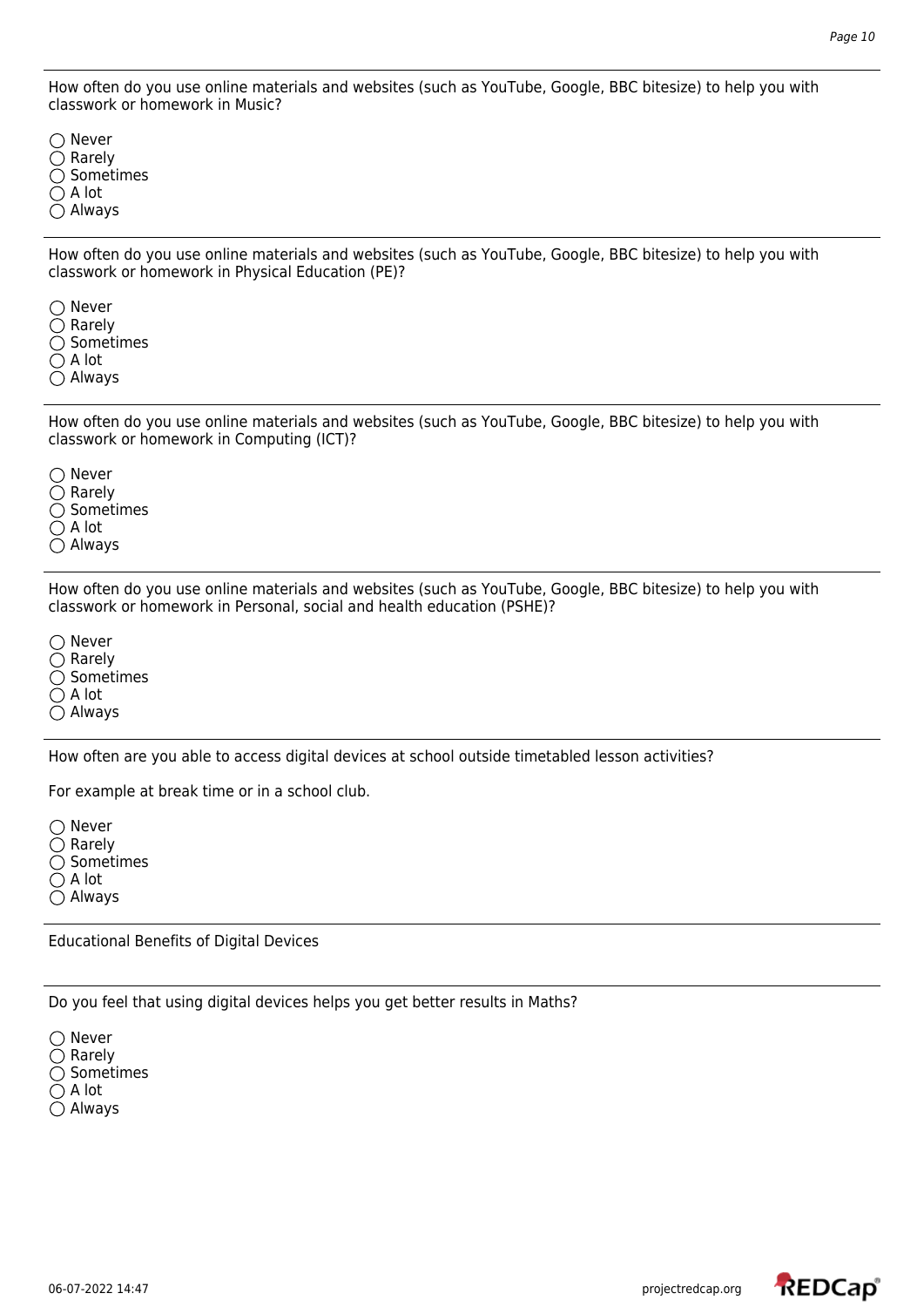How often do you use online materials and websites (such as YouTube, Google, BBC bitesize) to help you with classwork or homework in Music?

 $\bigcap$  Never  $\bigcirc$  Rarely  $\bigcirc$  Sometimes  $\bigcirc$  A lot Always

How often do you use online materials and websites (such as YouTube, Google, BBC bitesize) to help you with classwork or homework in Physical Education (PE)?

◯ Never  $\bigcirc$  Rarely  $\bigcirc$  Sometimes  $\bigcap$  A lot Always

How often do you use online materials and websites (such as YouTube, Google, BBC bitesize) to help you with classwork or homework in Computing (ICT)?

 $\bigcap$  Never  $\bigcirc$  Rarely  $\bigcirc$  Sometimes  $\bigcirc$  A lot Always

How often do you use online materials and websites (such as YouTube, Google, BBC bitesize) to help you with classwork or homework in Personal, social and health education (PSHE)?

 $\bigcirc$  Never  $\bigcirc$  Rarely  $\bigcirc$  Sometimes  $\bigcirc$  A lot  $\bigcirc$  Always

How often are you able to access digital devices at school outside timetabled lesson activities?

For example at break time or in a school club.

 $\bigcirc$  Never  $\bigcap$  Rarely  $\bigcirc$  Sometimes  $\bigcirc$  A lot

Always

Educational Benefits of Digital Devices

Do you feel that using digital devices helps you get better results in Maths?

 $\bigcirc$  Never  $\bigcirc$  Rarely  $\bigcirc$  Sometimes  $\bigcirc$  A lot Always

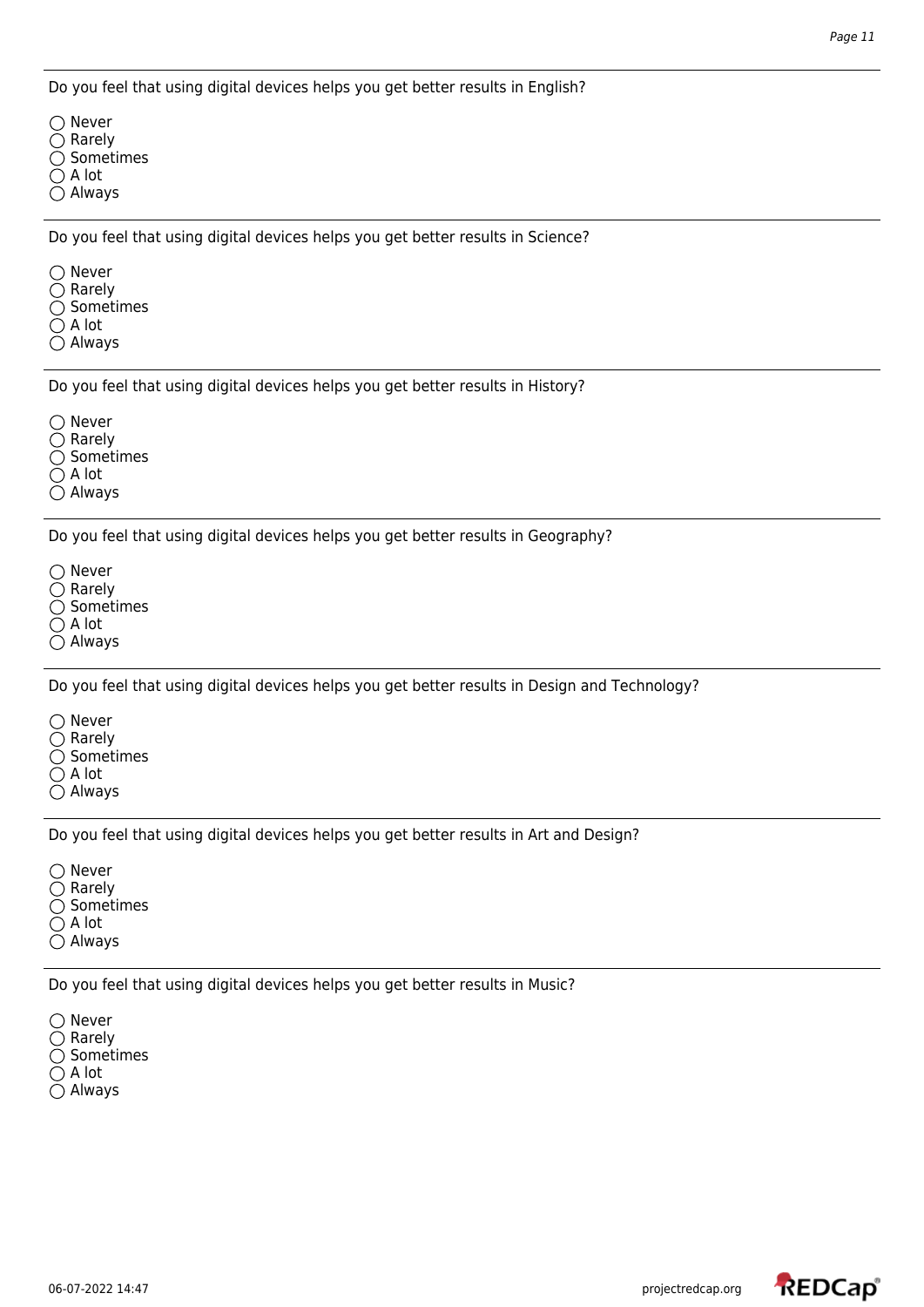Do you feel that using digital devices helps you get better results in English?

 $\bigcap$  Never  $\bigcirc$  Rarely  $\bigcirc$  Sometimes  $\bigcirc$  A lot Always

Do you feel that using digital devices helps you get better results in Science?

 $\bigcirc$  Never

- $\bigcirc$  Rarely
- $\bigcirc$  Sometimes
- $\bigcirc$  A lot
- Always

Do you feel that using digital devices helps you get better results in History?

○ Never

 $\bigcirc$  Rarely

 $\bigcirc$  Sometimes

 $\bigcirc$  A lot

Always

Do you feel that using digital devices helps you get better results in Geography?

 $\bigcirc$  Never  $\bigcirc$  Rarely  $\bigcirc$  Sometimes  $\bigcirc$  A lot

Always

Do you feel that using digital devices helps you get better results in Design and Technology?

 $\bigcap$  Never

 $\bigcirc$  Rarely

 $\bigcirc$  Sometimes

 $\bigcirc$  A lot

Always

Do you feel that using digital devices helps you get better results in Art and Design?

○ Never  $\bigcirc$  Rarely  $\bigcirc$  Sometimes  $\bigcirc$  A lot

Always

Do you feel that using digital devices helps you get better results in Music?

○ Never  $\bigcirc$  Rarely  $\bigcirc$  Sometimes  $\bigcirc$  A lot  $\bigcirc$  Always

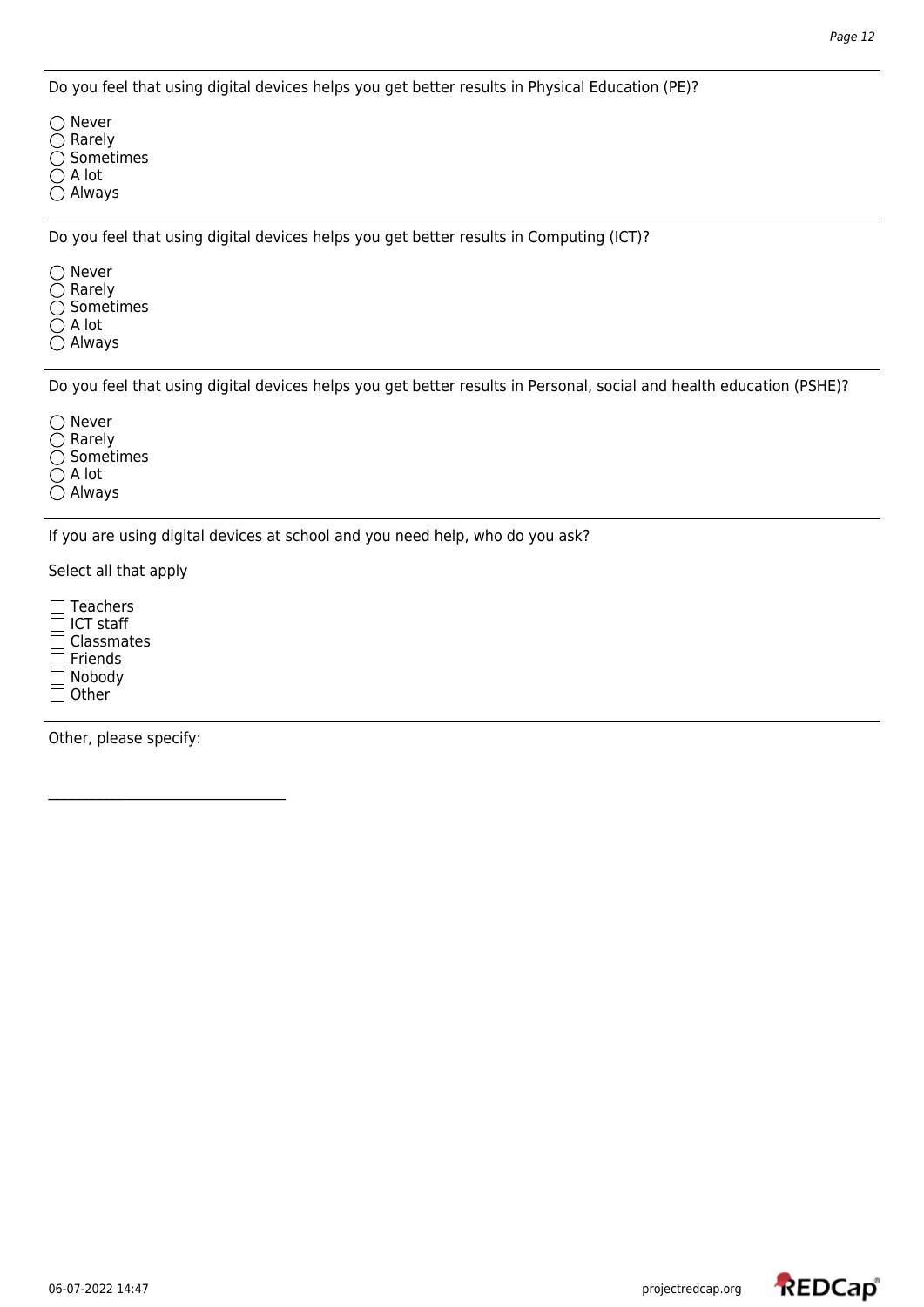Do you feel that using digital devices helps you get better results in Physical Education (PE)?

 $\bigcap$  Never  $\bigcirc$  Rarely Sometimes A lot Always

Do you feel that using digital devices helps you get better results in Computing (ICT)?

○ Never

- $\bigcirc$  Rarely
- $\bigcirc$  Sometimes
- $\bigcirc$  A lot
- Always

Do you feel that using digital devices helps you get better results in Personal, social and health education (PSHE)?

○ Never

 $\bigcirc$  Rarely

 $\bigcirc$  Sometimes

 $\bigcirc$  A lot

Always

If you are using digital devices at school and you need help, who do you ask?

Select all that apply

 $\Box$  Teachers  $\Box$  ICT staff  $\overline{\Box}$  Classmates  $\Box$  Friends Nobody  $\Box$  Other

Other, please specify:

 $\mathcal{L}_\text{max}$  , where  $\mathcal{L}_\text{max}$  and  $\mathcal{L}_\text{max}$  and  $\mathcal{L}_\text{max}$ 

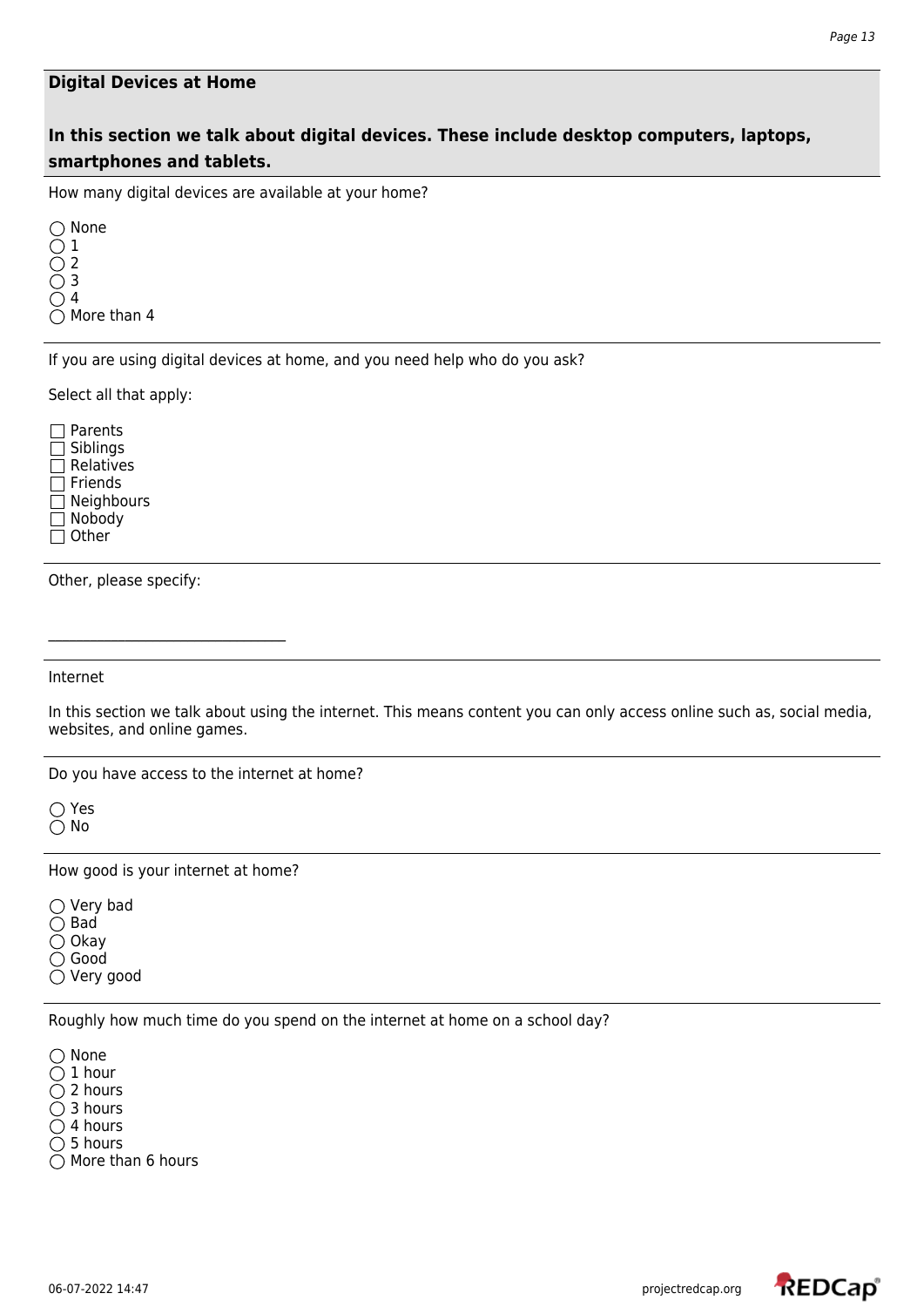#### **Digital Devices at Home**

## **In this section we talk about digital devices. These include desktop computers, laptops, smartphones and tablets.**

How many digital devices are available at your home?

◯ None 1 2 3 4  $\bigcirc$  More than 4

If you are using digital devices at home, and you need help who do you ask?

Select all that apply:

□ Parents Siblings  $\Box$  Relatives  $\Box$  Friends **□ Neighbours** Nobody  $\Box$  Other

Other, please specify:

Internet

In this section we talk about using the internet. This means content you can only access online such as, social media, websites, and online games.

Do you have access to the internet at home?

○ Yes  $\bigcirc$  No

How good is your internet at home?

 $\bigcirc$  Very bad  $\bigcirc$  Bad  $\bigcirc$  Okay

◯ Good

Very good

Roughly how much time do you spend on the internet at home on a school day?

 $\bigcirc$  None  $\bigcirc$  1 hour  $\bigcirc$  2 hours ◯ 3 hours  $\bigcirc$  4 hours

 $\bigcirc$  5 hours

 $\bigcirc$  More than 6 hours

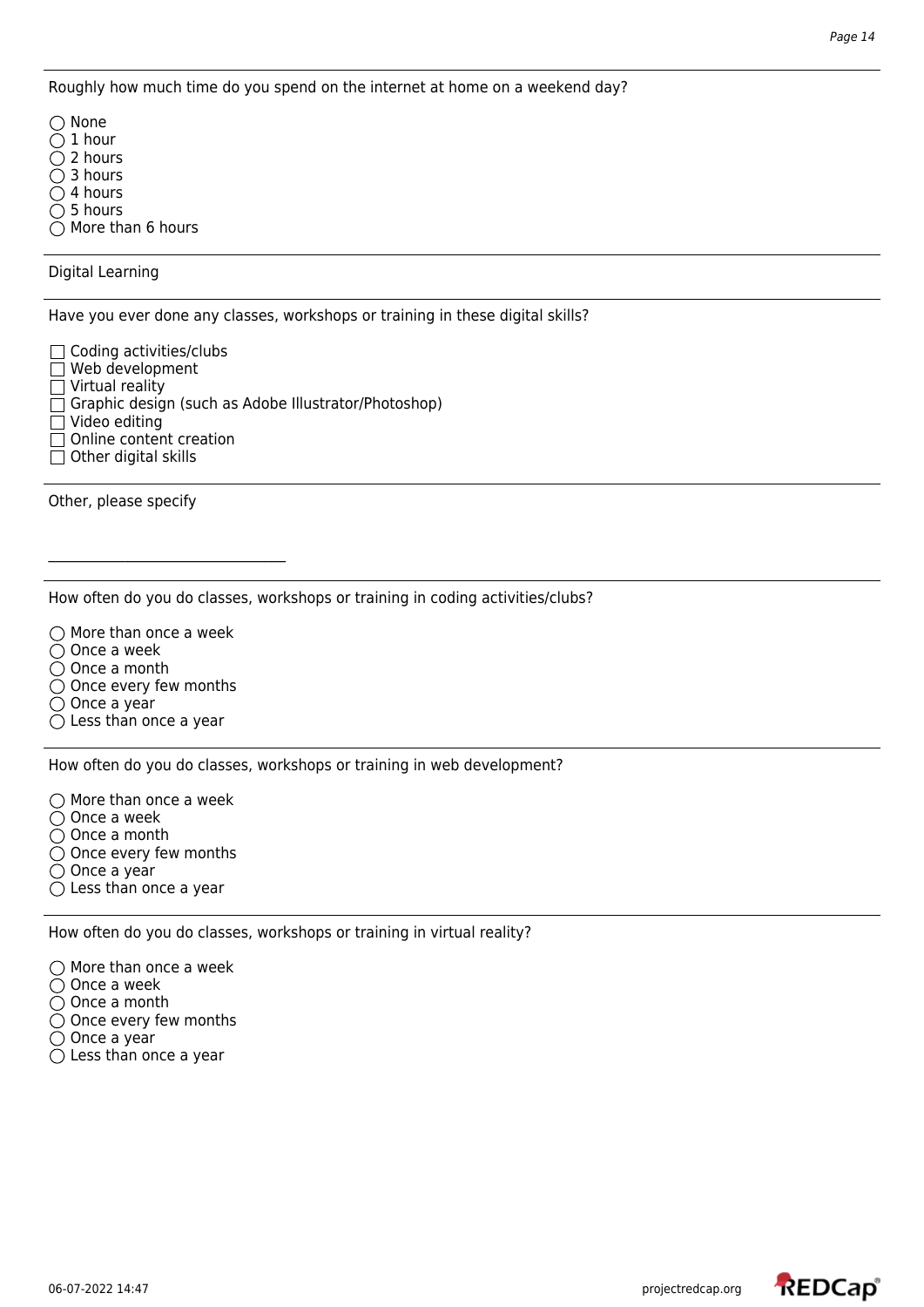Roughly how much time do you spend on the internet at home on a weekend day?

◯ None  $\bigcap$  1 hour  $\bigcirc$  2 hours

 $\bigcirc$  3 hours

 $\bigcirc$  4 hours

 $\bigcirc$  5 hours

 $\bigcirc$  More than 6 hours

Digital Learning

Have you ever done any classes, workshops or training in these digital skills?

 $\Box$  Coding activities/clubs

 $\Box$  Web development

 $\Box$  Virtual reality

Graphic design (such as Adobe Illustrator/Photoshop)

Video editing

 $\Box$  Online content creation

 $\Box$  Other digital skills

Other, please specify

How often do you do classes, workshops or training in coding activities/clubs?

 $\bigcirc$  More than once a week  $\bigcirc$  Once a week

 $\bigcirc$  Once a month  $\bigcirc$  Once every few months

 $\bigcirc$  Once a year

 $\bigcirc$  Less than once a year

How often do you do classes, workshops or training in web development?

 $\bigcirc$  More than once a week  $\bigcirc$  Once a week  $\bigcirc$  Once a month

 $\bigcirc$  Once every few months

○ Once a year

 $\bigcirc$  Less than once a year

How often do you do classes, workshops or training in virtual reality?

 $\bigcirc$  More than once a week

 $\bigcirc$  Once a week

○ Once a month

 $\bigcirc$  Once every few months

 $\bigcirc$  Once a year

 $\bigcirc$  Less than once a year

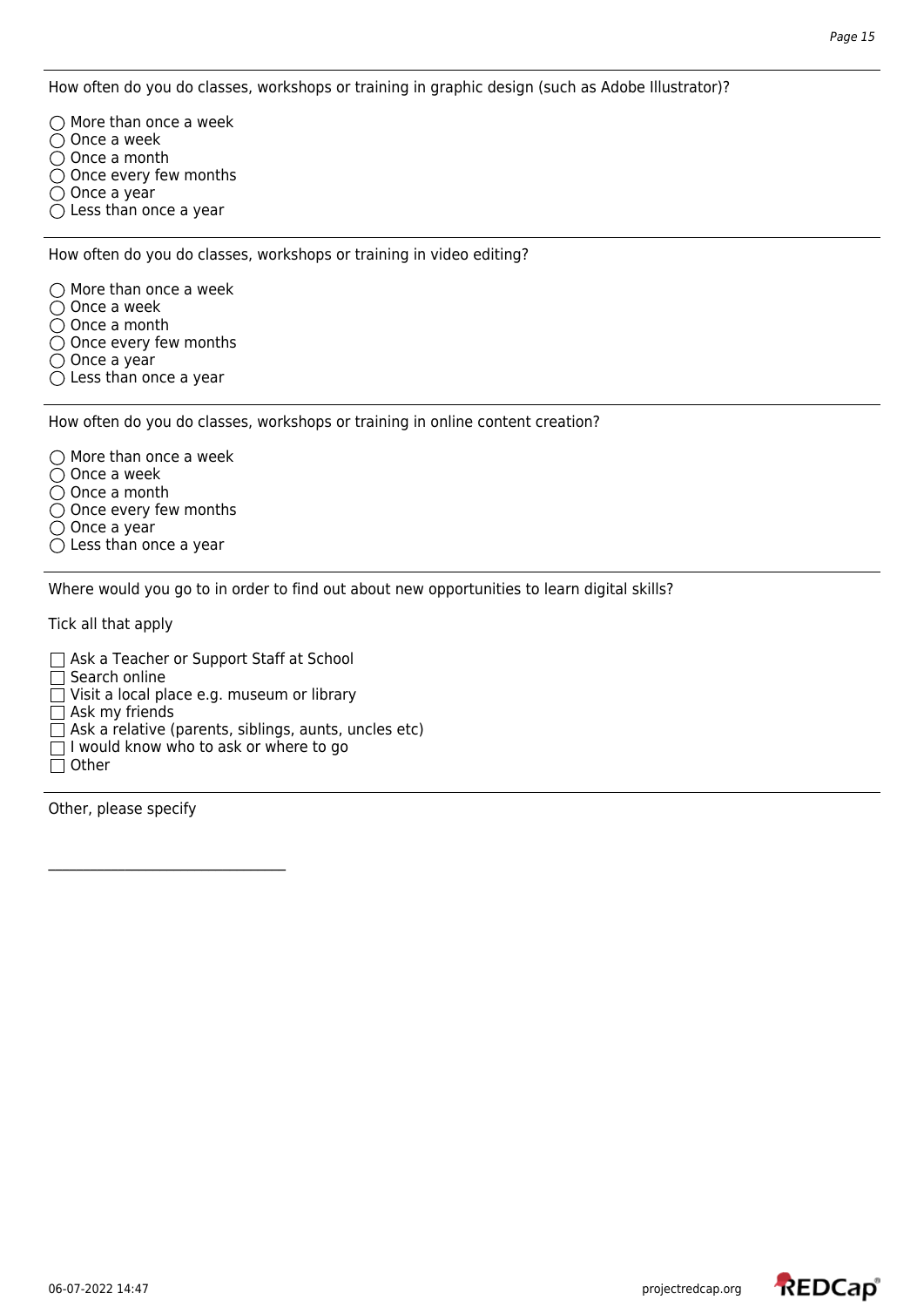How often do you do classes, workshops or training in graphic design (such as Adobe Illustrator)?

 $\bigcap$  More than once a week  $\bigcirc$  Once a week  $\overline{O}$  Once a month  $\bigcirc$  Once every few months  $\bigcirc$  Once a year  $\bigcirc$  Less than once a year

How often do you do classes, workshops or training in video editing?

 $\bigcirc$  More than once a week  $\bigcirc$  Once a week ○ Once a month  $\overline{O}$  Once every few months  $\bigcirc$  Once a year

 $\bigcirc$  Less than once a year

How often do you do classes, workshops or training in online content creation?

 $\bigcirc$  More than once a week  $\bigcirc$  Once a week  $\bigcirc$  Once a month  $\bigcirc$  Once every few months  $\bigcirc$  Once a year  $\bigcirc$  Less than once a year

Where would you go to in order to find out about new opportunities to learn digital skills?

Tick all that apply

Ask a Teacher or Support Staff at School  $\Box$  Search online  $\Box$  Visit a local place e.g. museum or library  $\Box$  Ask my friends  $\Box$  Ask a relative (parents, siblings, aunts, uncles etc)  $\Box$  I would know who to ask or where to go  $\Box$  Other

Other, please specify

 $\mathcal{L}_\text{max}$ 

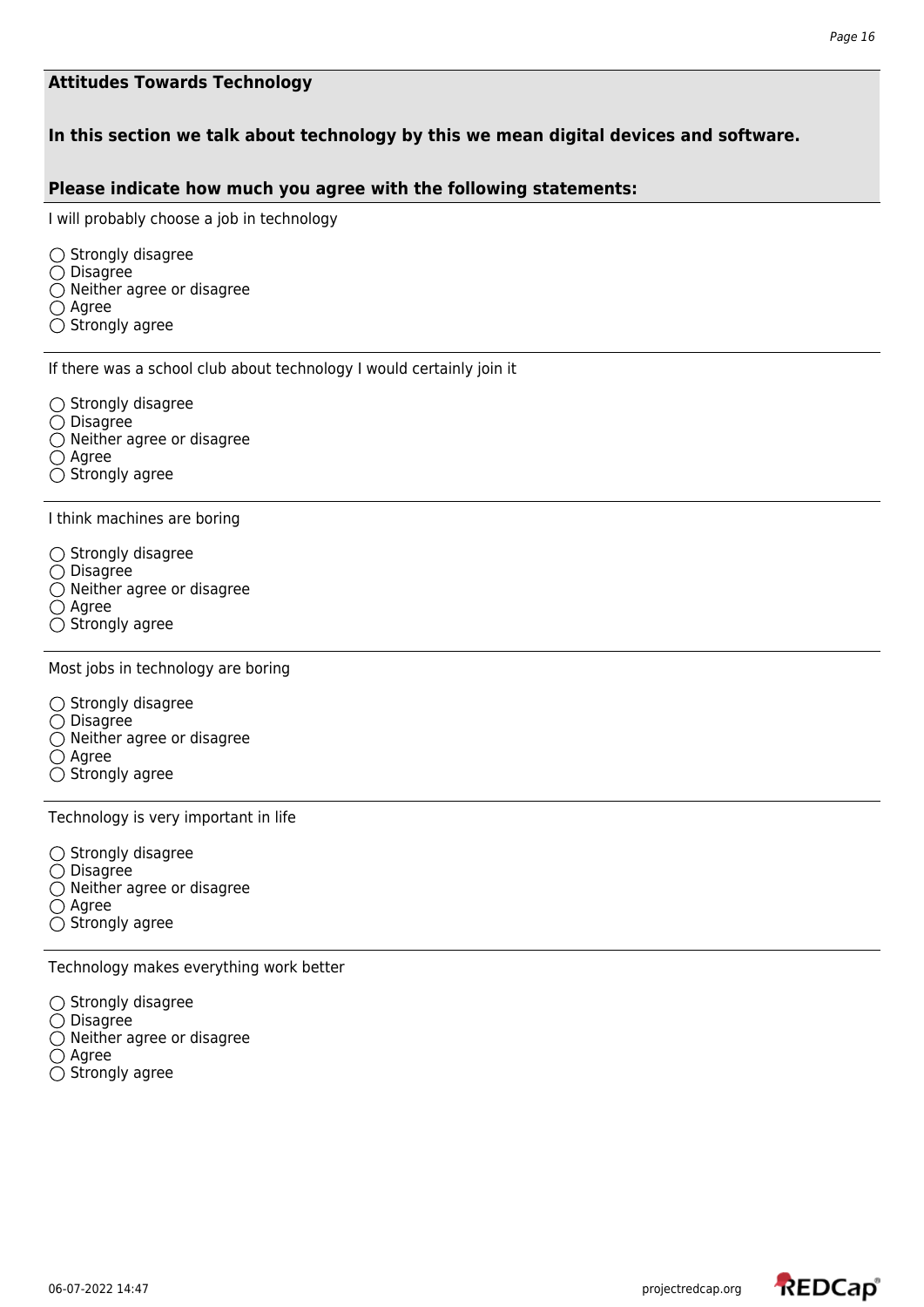### **Attitudes Towards Technology**

## **In this section we talk about technology by this we mean digital devices and software.**

### **Please indicate how much you agree with the following statements:**

I will probably choose a job in technology

 $\bigcirc$  Strongly disagree  $\bigcirc$  Disagree  $\bigcirc$  Neither agree or disagree  $\bigcirc$  Agree  $\bigcirc$  Strongly agree

If there was a school club about technology I would certainly join it

 $\bigcirc$  Strongly disagree

- $\bigcirc$  Disagree
- Neither agree or disagree
- $\bigcirc$  Agree
- $\bigcirc$  Strongly agree

I think machines are boring

- $\bigcirc$  Strongly disagree
- $\bigcirc$  Disagree
- $\bigcirc$  Neither agree or disagree
- $\bigcirc$  Agree
- $\bigcirc$  Strongly agree

Most jobs in technology are boring

- $\bigcirc$  Strongly disagree
- $\bigcirc$  Disagree
- $\bigcirc$  Neither agree or disagree
- $\bigcirc$  Agree
- $\bigcirc$  Strongly agree

Technology is very important in life

 $\bigcirc$  Strongly disagree  $\bigcirc$  Disagree  $\bigcirc$  Neither agree or disagree  $\bigcirc$  Agree  $\bigcirc$  Strongly agree

Technology makes everything work better

 $\bigcirc$  Strongly disagree  $\bigcirc$  Disagree  $\bigcirc$  Neither agree or disagree  $\bigcirc$  Agree  $\bigcirc$  Strongly agree

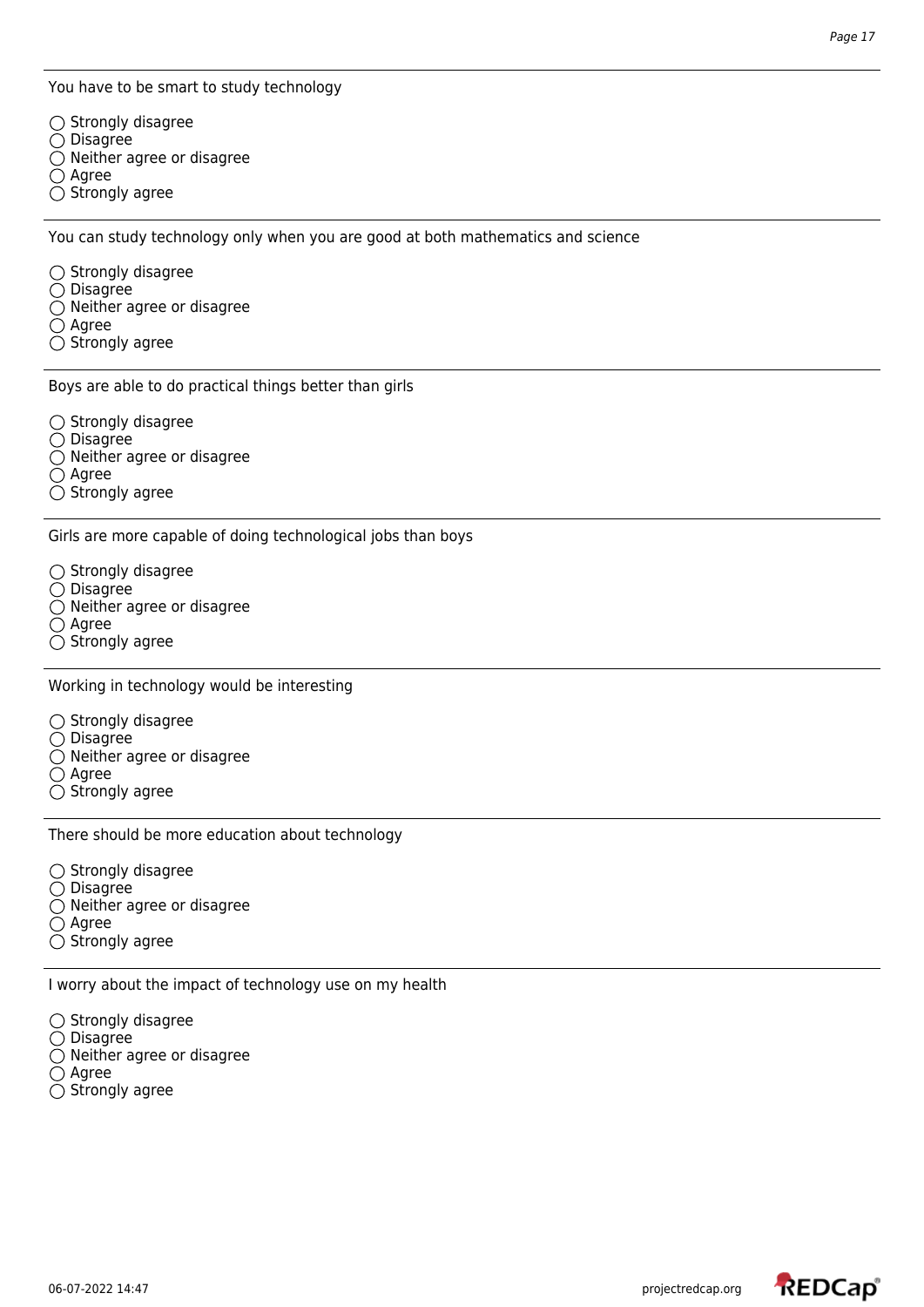You have to be smart to study technology

 $\bigcirc$  Strongly disagree  $\bigcirc$  Disagree  $\bigcirc$  Neither agree or disagree  $\bigcirc$  Agree  $\bigcirc$  Strongly agree

You can study technology only when you are good at both mathematics and science

 $\bigcirc$  Strongly disagree

 $\bigcirc$  Disagree

 $\bigcirc$  Neither agree or disagree

 $\bigcirc$  Agree

 $\bigcirc$  Strongly agree

Boys are able to do practical things better than girls

 $\bigcirc$  Strongly disagree

- $\bigcirc$  Disagree
- $\bigcirc$  Neither agree or disagree

 $\bigcirc$  Agree

 $\bigcirc$  Strongly agree

Girls are more capable of doing technological jobs than boys

 $\bigcirc$  Strongly disagree

- $\bigcirc$  Disagree
- $\bigcirc$  Neither agree or disagree
- $\bigcirc$  Agree
- $\bigcirc$  Strongly agree

Working in technology would be interesting

 $\bigcirc$  Strongly disagree

- $\bigcirc$  Disagree
- $\overline{O}$  Neither agree or disagree

 $\bigcirc$  Agree

 $\bigcirc$  Strongly agree

There should be more education about technology

 $\bigcirc$  Strongly disagree  $\bigcirc$  Disagree

- $\bigcirc$  Neither agree or disagree
- $\bigcirc$  Agree
- $\bigcirc$  Strongly agree

I worry about the impact of technology use on my health

 $\bigcirc$  Strongly disagree

- $\bigcirc$  Disagree
- $\bigcirc$  Neither agree or disagree
- $\bigcirc$  Agree
- $\bigcirc$  Strongly agree